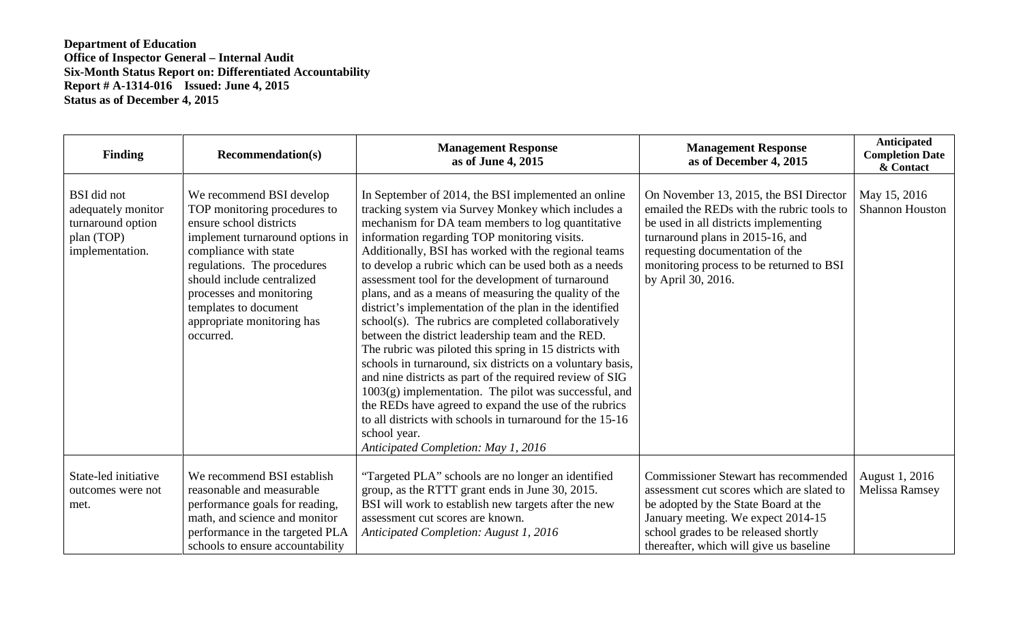| <b>Finding</b>                                                                                 | <b>Recommendation(s)</b>                                                                                                                                                                                                                                                                                     | <b>Management Response</b><br>as of June 4, 2015                                                                                                                                                                                                                                                                                                                                                                                                                                                                                                                                                                                                                                                                                                                                                                                                                                                                                                                                                                                                   | <b>Management Response</b><br>as of December 4, 2015                                                                                                                                                                                                                  | <b>Anticipated</b><br><b>Completion Date</b><br>& Contact |
|------------------------------------------------------------------------------------------------|--------------------------------------------------------------------------------------------------------------------------------------------------------------------------------------------------------------------------------------------------------------------------------------------------------------|----------------------------------------------------------------------------------------------------------------------------------------------------------------------------------------------------------------------------------------------------------------------------------------------------------------------------------------------------------------------------------------------------------------------------------------------------------------------------------------------------------------------------------------------------------------------------------------------------------------------------------------------------------------------------------------------------------------------------------------------------------------------------------------------------------------------------------------------------------------------------------------------------------------------------------------------------------------------------------------------------------------------------------------------------|-----------------------------------------------------------------------------------------------------------------------------------------------------------------------------------------------------------------------------------------------------------------------|-----------------------------------------------------------|
| <b>BSI</b> did not<br>adequately monitor<br>turnaround option<br>plan (TOP)<br>implementation. | We recommend BSI develop<br>TOP monitoring procedures to<br>ensure school districts<br>implement turnaround options in<br>compliance with state<br>regulations. The procedures<br>should include centralized<br>processes and monitoring<br>templates to document<br>appropriate monitoring has<br>occurred. | In September of 2014, the BSI implemented an online<br>tracking system via Survey Monkey which includes a<br>mechanism for DA team members to log quantitative<br>information regarding TOP monitoring visits.<br>Additionally, BSI has worked with the regional teams<br>to develop a rubric which can be used both as a needs<br>assessment tool for the development of turnaround<br>plans, and as a means of measuring the quality of the<br>district's implementation of the plan in the identified<br>school(s). The rubrics are completed collaboratively<br>between the district leadership team and the RED.<br>The rubric was piloted this spring in 15 districts with<br>schools in turnaround, six districts on a voluntary basis,<br>and nine districts as part of the required review of SIG<br>$1003(g)$ implementation. The pilot was successful, and<br>the REDs have agreed to expand the use of the rubrics<br>to all districts with schools in turnaround for the 15-16<br>school year.<br>Anticipated Completion: May 1, 2016 | On November 13, 2015, the BSI Director<br>emailed the REDs with the rubric tools to<br>be used in all districts implementing<br>turnaround plans in 2015-16, and<br>requesting documentation of the<br>monitoring process to be returned to BSI<br>by April 30, 2016. | May 15, 2016<br><b>Shannon Houston</b>                    |
| State-led initiative<br>outcomes were not<br>met.                                              | We recommend BSI establish<br>reasonable and measurable<br>performance goals for reading,<br>math, and science and monitor<br>performance in the targeted PLA<br>schools to ensure accountability                                                                                                            | "Targeted PLA" schools are no longer an identified<br>group, as the RTTT grant ends in June 30, 2015.<br>BSI will work to establish new targets after the new<br>assessment cut scores are known.<br>Anticipated Completion: August 1, 2016                                                                                                                                                                                                                                                                                                                                                                                                                                                                                                                                                                                                                                                                                                                                                                                                        | <b>Commissioner Stewart has recommended</b><br>assessment cut scores which are slated to<br>be adopted by the State Board at the<br>January meeting. We expect 2014-15<br>school grades to be released shortly<br>thereafter, which will give us baseline             | August 1, 2016<br><b>Melissa Ramsey</b>                   |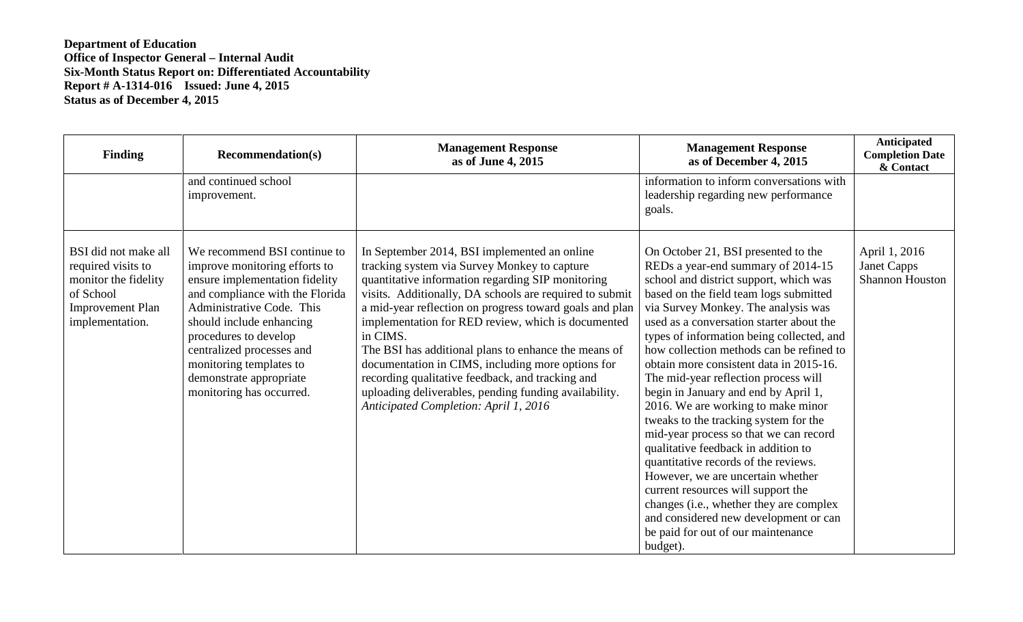| <b>Finding</b>                                                                                                                | <b>Recommendation(s)</b>                                                                                                                                                                                                                                                                                                            | <b>Management Response</b><br>as of June 4, 2015                                                                                                                                                                                                                                                                                                                                                                                                                                                                                                                                                             | <b>Management Response</b><br>as of December 4, 2015                                                                                                                                                                                                                                                                                                                                                                                                                                                                                                                                                                                                                                                                                                                                                                                                                                          | Anticipated<br><b>Completion Date</b><br>& Contact     |
|-------------------------------------------------------------------------------------------------------------------------------|-------------------------------------------------------------------------------------------------------------------------------------------------------------------------------------------------------------------------------------------------------------------------------------------------------------------------------------|--------------------------------------------------------------------------------------------------------------------------------------------------------------------------------------------------------------------------------------------------------------------------------------------------------------------------------------------------------------------------------------------------------------------------------------------------------------------------------------------------------------------------------------------------------------------------------------------------------------|-----------------------------------------------------------------------------------------------------------------------------------------------------------------------------------------------------------------------------------------------------------------------------------------------------------------------------------------------------------------------------------------------------------------------------------------------------------------------------------------------------------------------------------------------------------------------------------------------------------------------------------------------------------------------------------------------------------------------------------------------------------------------------------------------------------------------------------------------------------------------------------------------|--------------------------------------------------------|
|                                                                                                                               | and continued school<br>improvement.                                                                                                                                                                                                                                                                                                |                                                                                                                                                                                                                                                                                                                                                                                                                                                                                                                                                                                                              | information to inform conversations with<br>leadership regarding new performance<br>goals.                                                                                                                                                                                                                                                                                                                                                                                                                                                                                                                                                                                                                                                                                                                                                                                                    |                                                        |
| BSI did not make all<br>required visits to<br>monitor the fidelity<br>of School<br><b>Improvement Plan</b><br>implementation. | We recommend BSI continue to<br>improve monitoring efforts to<br>ensure implementation fidelity<br>and compliance with the Florida<br>Administrative Code. This<br>should include enhancing<br>procedures to develop<br>centralized processes and<br>monitoring templates to<br>demonstrate appropriate<br>monitoring has occurred. | In September 2014, BSI implemented an online<br>tracking system via Survey Monkey to capture<br>quantitative information regarding SIP monitoring<br>visits. Additionally, DA schools are required to submit<br>a mid-year reflection on progress toward goals and plan<br>implementation for RED review, which is documented<br>in CIMS.<br>The BSI has additional plans to enhance the means of<br>documentation in CIMS, including more options for<br>recording qualitative feedback, and tracking and<br>uploading deliverables, pending funding availability.<br>Anticipated Completion: April 1, 2016 | On October 21, BSI presented to the<br>REDs a year-end summary of 2014-15<br>school and district support, which was<br>based on the field team logs submitted<br>via Survey Monkey. The analysis was<br>used as a conversation starter about the<br>types of information being collected, and<br>how collection methods can be refined to<br>obtain more consistent data in 2015-16.<br>The mid-year reflection process will<br>begin in January and end by April 1,<br>2016. We are working to make minor<br>tweaks to the tracking system for the<br>mid-year process so that we can record<br>qualitative feedback in addition to<br>quantitative records of the reviews.<br>However, we are uncertain whether<br>current resources will support the<br>changes (i.e., whether they are complex<br>and considered new development or can<br>be paid for out of our maintenance<br>budget). | April 1, 2016<br>Janet Capps<br><b>Shannon Houston</b> |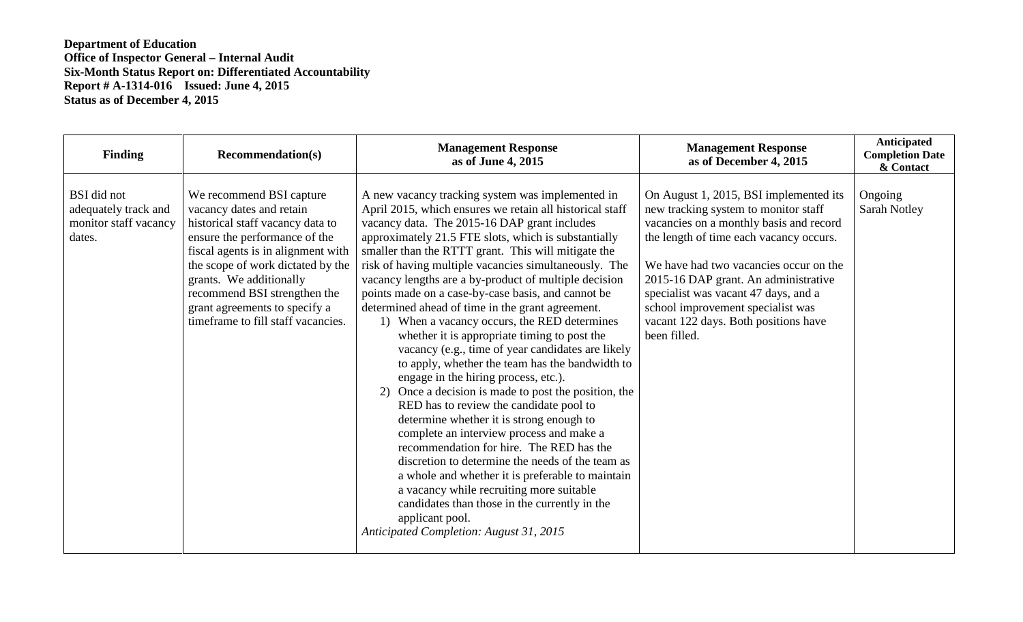| <b>Finding</b>                                                         | <b>Recommendation(s)</b>                                                                                                                                                                                                                                                                                                               | <b>Management Response</b><br>as of June 4, 2015                                                                                                                                                                                                                                                                                                                                                                                                                                                                                                                                                                                                                                                                                                                                                                                                                                                                                                                                                                                                                                                                                                                                                                                                                  | <b>Management Response</b><br>as of December 4, 2015                                                                                                                                                                                                                                                                                                                                        | <b>Anticipated</b><br><b>Completion Date</b><br>& Contact |
|------------------------------------------------------------------------|----------------------------------------------------------------------------------------------------------------------------------------------------------------------------------------------------------------------------------------------------------------------------------------------------------------------------------------|-------------------------------------------------------------------------------------------------------------------------------------------------------------------------------------------------------------------------------------------------------------------------------------------------------------------------------------------------------------------------------------------------------------------------------------------------------------------------------------------------------------------------------------------------------------------------------------------------------------------------------------------------------------------------------------------------------------------------------------------------------------------------------------------------------------------------------------------------------------------------------------------------------------------------------------------------------------------------------------------------------------------------------------------------------------------------------------------------------------------------------------------------------------------------------------------------------------------------------------------------------------------|---------------------------------------------------------------------------------------------------------------------------------------------------------------------------------------------------------------------------------------------------------------------------------------------------------------------------------------------------------------------------------------------|-----------------------------------------------------------|
| BSI did not<br>adequately track and<br>monitor staff vacancy<br>dates. | We recommend BSI capture<br>vacancy dates and retain<br>historical staff vacancy data to<br>ensure the performance of the<br>fiscal agents is in alignment with<br>the scope of work dictated by the<br>grants. We additionally<br>recommend BSI strengthen the<br>grant agreements to specify a<br>timeframe to fill staff vacancies. | A new vacancy tracking system was implemented in<br>April 2015, which ensures we retain all historical staff<br>vacancy data. The 2015-16 DAP grant includes<br>approximately 21.5 FTE slots, which is substantially<br>smaller than the RTTT grant. This will mitigate the<br>risk of having multiple vacancies simultaneously. The<br>vacancy lengths are a by-product of multiple decision<br>points made on a case-by-case basis, and cannot be<br>determined ahead of time in the grant agreement.<br>1) When a vacancy occurs, the RED determines<br>whether it is appropriate timing to post the<br>vacancy (e.g., time of year candidates are likely<br>to apply, whether the team has the bandwidth to<br>engage in the hiring process, etc.).<br>2) Once a decision is made to post the position, the<br>RED has to review the candidate pool to<br>determine whether it is strong enough to<br>complete an interview process and make a<br>recommendation for hire. The RED has the<br>discretion to determine the needs of the team as<br>a whole and whether it is preferable to maintain<br>a vacancy while recruiting more suitable<br>candidates than those in the currently in the<br>applicant pool.<br>Anticipated Completion: August 31, 2015 | On August 1, 2015, BSI implemented its<br>new tracking system to monitor staff<br>vacancies on a monthly basis and record<br>the length of time each vacancy occurs.<br>We have had two vacancies occur on the<br>2015-16 DAP grant. An administrative<br>specialist was vacant 47 days, and a<br>school improvement specialist was<br>vacant 122 days. Both positions have<br>been filled. | Ongoing<br>Sarah Notley                                   |